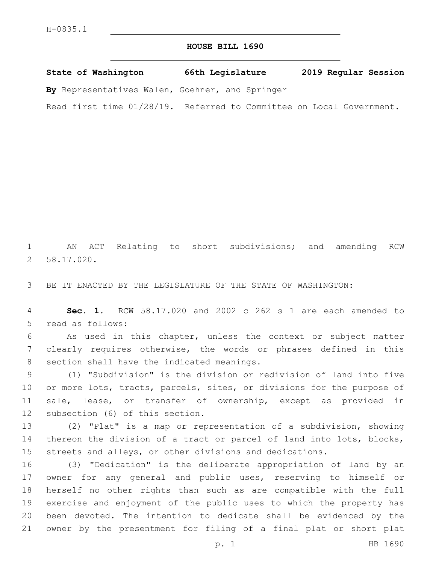## **HOUSE BILL 1690**

**State of Washington 66th Legislature 2019 Regular Session**

**By** Representatives Walen, Goehner, and Springer

Read first time 01/28/19. Referred to Committee on Local Government.

1 AN ACT Relating to short subdivisions; and amending RCW 58.17.020.2

3 BE IT ENACTED BY THE LEGISLATURE OF THE STATE OF WASHINGTON:

4 **Sec. 1.** RCW 58.17.020 and 2002 c 262 s 1 are each amended to 5 read as follows:

6 As used in this chapter, unless the context or subject matter 7 clearly requires otherwise, the words or phrases defined in this 8 section shall have the indicated meanings.

9 (1) "Subdivision" is the division or redivision of land into five 10 or more lots, tracts, parcels, sites, or divisions for the purpose of 11 sale, lease, or transfer of ownership, except as provided in 12 subsection (6) of this section.

13 (2) "Plat" is a map or representation of a subdivision, showing 14 thereon the division of a tract or parcel of land into lots, blocks, 15 streets and alleys, or other divisions and dedications.

 (3) "Dedication" is the deliberate appropriation of land by an owner for any general and public uses, reserving to himself or herself no other rights than such as are compatible with the full exercise and enjoyment of the public uses to which the property has been devoted. The intention to dedicate shall be evidenced by the owner by the presentment for filing of a final plat or short plat

p. 1 HB 1690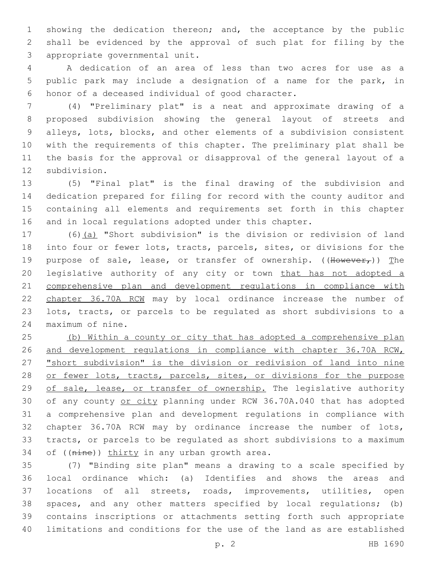showing the dedication thereon; and, the acceptance by the public shall be evidenced by the approval of such plat for filing by the 3 appropriate governmental unit.

 A dedication of an area of less than two acres for use as a public park may include a designation of a name for the park, in 6 honor of a deceased individual of good character.

 (4) "Preliminary plat" is a neat and approximate drawing of a proposed subdivision showing the general layout of streets and alleys, lots, blocks, and other elements of a subdivision consistent with the requirements of this chapter. The preliminary plat shall be the basis for the approval or disapproval of the general layout of a 12 subdivision.

 (5) "Final plat" is the final drawing of the subdivision and dedication prepared for filing for record with the county auditor and containing all elements and requirements set forth in this chapter and in local regulations adopted under this chapter.

 (6)(a) "Short subdivision" is the division or redivision of land into four or fewer lots, tracts, parcels, sites, or divisions for the 19 purpose of sale, lease, or transfer of ownership. ( $\text{Hower}_r$ )) The 20 legislative authority of any city or town that has not adopted a comprehensive plan and development regulations in compliance with chapter 36.70A RCW may by local ordinance increase the number of lots, tracts, or parcels to be regulated as short subdivisions to a 24 maximum of nine.

 (b) Within a county or city that has adopted a comprehensive plan and development regulations in compliance with chapter 36.70A RCW, "short subdivision" is the division or redivision of land into nine 28 or fewer lots, tracts, parcels, sites, or divisions for the purpose of sale, lease, or transfer of ownership. The legislative authority 30 of any county or city planning under RCW 36.70A.040 that has adopted a comprehensive plan and development regulations in compliance with chapter 36.70A RCW may by ordinance increase the number of lots, tracts, or parcels to be regulated as short subdivisions to a maximum 34 of  $((\overline{nine}))$  thirty in any urban growth area.

 (7) "Binding site plan" means a drawing to a scale specified by local ordinance which: (a) Identifies and shows the areas and locations of all streets, roads, improvements, utilities, open spaces, and any other matters specified by local regulations; (b) contains inscriptions or attachments setting forth such appropriate limitations and conditions for the use of the land as are established

p. 2 HB 1690